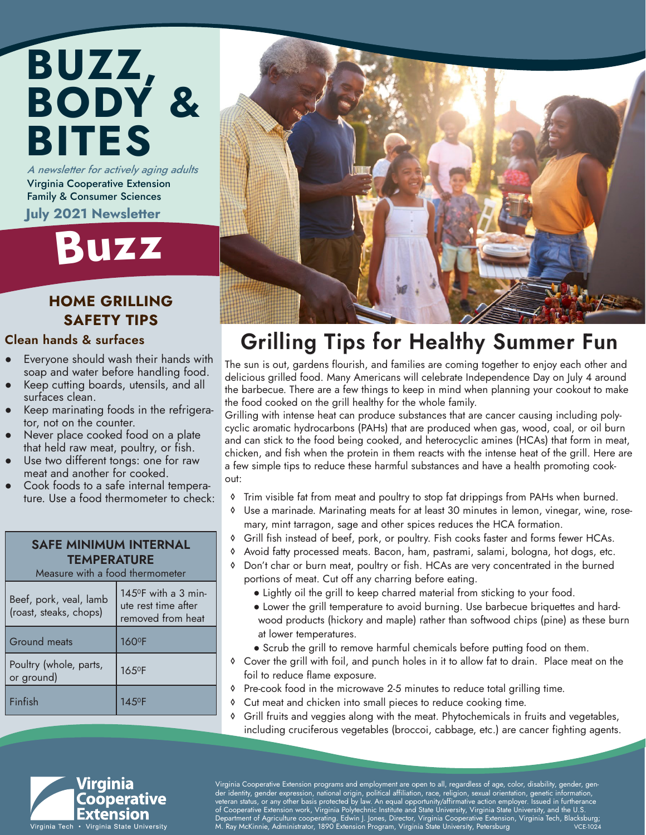### A newsletter for actively aging adults BUZZ, BODY & BITES

Virginia Cooperative Extension Family & Consumer Sciences July 2021 Newsletter

# Buz<sup>z</sup>

#### HOME GRILLING SAFETY TIPS

#### Clean hands & surfaces

- Everyone should wash their hands with soap and water before handling food.
- Keep cutting boards, utensils, and all surfaces clean.
- Keep marinating foods in the refrigerator, not on the counter.
- Never place cooked food on a plate that held raw meat, poultry, or fish.
- Use two different tongs: one for raw meat and another for cooked.
- Cook foods to a safe internal temperature. Use a food thermometer to check:

#### SAFE MINIMUM INTERNAL **TEMPERATURE**

| Measure with a food thermometer                  |                                                                                |
|--------------------------------------------------|--------------------------------------------------------------------------------|
| Beef, pork, veal, lamb<br>(roast, steaks, chops) | $145$ <sup>o</sup> F with a 3 min-<br>ute rest time after<br>removed from heat |
| Ground meats                                     | 160°F                                                                          |
| Poultry (whole, parts,<br>or ground)             | 165°F                                                                          |
| Finfish                                          | 14.5ºF                                                                         |



### Grilling Tips for Healthy Summer Fun

The sun is out, gardens flourish, and families are coming together to enjoy each other and delicious grilled food. Many Americans will celebrate Independence Day on July 4 around the barbecue. There are a few things to keep in mind when planning your cookout to make the food cooked on the grill healthy for the whole family.

Grilling with intense heat can produce substances that are cancer causing including polycyclic aromatic hydrocarbons (PAHs) that are produced when gas, wood, coal, or oil burn and can stick to the food being cooked, and heterocyclic amines (HCAs) that form in meat, chicken, and fish when the protein in them reacts with the intense heat of the grill. Here are a few simple tips to reduce these harmful substances and have a health promoting cookout:

- ◊ Trim visible fat from meat and poultry to stop fat drippings from PAHs when burned.
- ◊ Use a marinade. Marinating meats for at least 30 minutes in lemon, vinegar, wine, rosemary, mint tarragon, sage and other spices reduces the HCA formation.
- ◊ Grill fish instead of beef, pork, or poultry. Fish cooks faster and forms fewer HCAs.
- ◊ Avoid fatty processed meats. Bacon, ham, pastrami, salami, bologna, hot dogs, etc.
- ◊ Don't char or burn meat, poultry or fish. HCAs are very concentrated in the burned portions of meat. Cut off any charring before eating.
	- Lightly oil the grill to keep charred material from sticking to your food.
	- Lower the grill temperature to avoid burning. Use barbecue briquettes and hardwood products (hickory and maple) rather than softwood chips (pine) as these burn at lower temperatures.
	- Scrub the grill to remove harmful chemicals before putting food on them.
- ◊ Cover the grill with foil, and punch holes in it to allow fat to drain. Place meat on the foil to reduce flame exposure.
- ◊ Pre-cook food in the microwave 2-5 minutes to reduce total grilling time.
- ◊ Cut meat and chicken into small pieces to reduce cooking time.
- ◊ Grill fruits and veggies along with the meat. Phytochemicals in fruits and vegetables, including cruciferous vegetables (broccoi, cabbage, etc.) are cancer fighting agents.



Virginia Cooperative Extension programs and employment are open to all, regardless of age, color, disability, gender, gender identity, gender expression, national origin, political affiliation, race, religion, sexual orientation, genetic information, veteran status, or any other basis protected by law. An equal opportunity/affirmative action employer. Issued in furtherance of Cooperative Extension work, Virginia Polytechnic Institute and State University, Virginia State University, and the U.S. , Department of Agriculture cooperating. Edwin J. Jones, Director, Virginia Cooperative Extension, Virginia Tech, Blacksburg;<br>M. Ray McKinnie, Administrator, 1890 Extension Program, Virginia State University, Petersburg